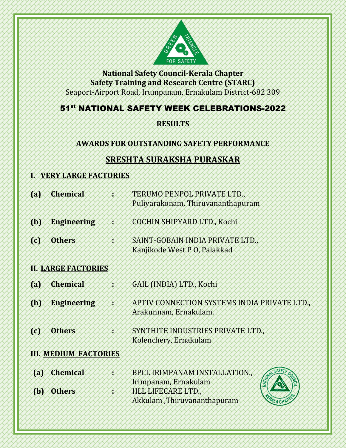

**National Safety Council-Kerala Chapter Safety Training and Research Centre (STARC)** Seaport-Airport Road, Irumpanam, Ernakulam District-682 309

## 51st NATIONAL SAFETY WEEK CELEBRATIONS-2022

## **RESULTS**

## **AWARDS FOR OUTSTANDING SAFETY PERFORMANCE**

# **SRESHTA SURAKSHA PURASKAR**

### **I. VERY LARGE FACTORIES**

| <b>(a)</b>            | <b>Chemical</b>              | TERUMO PENPOL PRIVATE LTD.,<br>Puliyarakonam, Thiruvananthapuram       |
|-----------------------|------------------------------|------------------------------------------------------------------------|
| ${a}$                 | <b>Engineering</b>           | COCHIN SHIPYARD LTD., Kochi                                            |
| łО                    | <b>Others</b>                | SAINT-GOBAIN INDIA PRIVATE LTD.,<br>Kanjikode West P O, Palakkad       |
|                       | <b>H. LARGE FACTORIES</b>    |                                                                        |
| $\left( a\right)$     | <b>Chemical</b>              | GAIL (INDIA) LTD., Kochi                                               |
| ØУ                    | <b>Engineering</b>           | APTIV CONNECTION SYSTEMS INDIA PRIVATE LTD.,<br>Arakunnam, Ernakulam.  |
| 101                   | <b>Others</b>                | SYNTHITE INDUSTRIES PRIVATE LTD.,<br>Kolenchery, Ernakulam             |
|                       | <b>III. MEDIUM FACTORIES</b> |                                                                        |
| $\left( \phi \right)$ | <b>Chemical</b>              | <b>BPCL IRIMPANAM INSTALLATION.,</b><br>NATION<br>Irimpanam, Ernakulam |
| ſЮ                    | <b>Others</b>                | HLL LIFECARE LTD.,<br>Akkulam ,Thiruvananthapuram<br>MALACHAP          |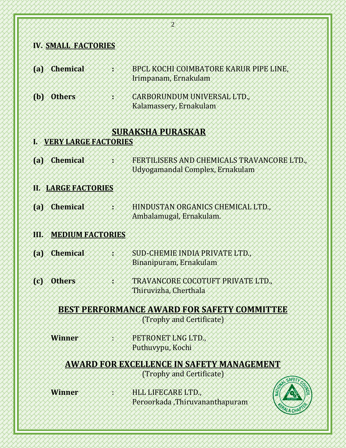|                   | <b>IV. SMALL FACTORIES</b>  |                                                                              |
|-------------------|-----------------------------|------------------------------------------------------------------------------|
| $\left( a\right)$ | <b>Chemical</b>             | <b>BPCL KOCHI COIMBATORE KARUR PIPE LINE,</b>                                |
|                   |                             | Irimpanam, Ernakulam                                                         |
| $\mathbf{b}$      | <b>Others</b>               | CARBORUNDUM UNIVERSAL LTD.,                                                  |
|                   |                             | Kalamassery, Ernakulam                                                       |
|                   |                             | <b>SURAKSHA PURASKAR</b>                                                     |
| R                 | <b>VERY LARGE FACTORIES</b> |                                                                              |
| $\left( a\right)$ | <b>Chemical</b>             | FERTILISERS AND CHEMICALS TRAVANCORE LTD.,                                   |
|                   |                             | Udyogamandal Complex, Ernakulam                                              |
|                   | <b>II. LARGE FACTORIES</b>  |                                                                              |
| $\left( a\right)$ | <b>Chemical</b>             | HINDUSTAN ORGANICS CHEMICAL LTD.,                                            |
|                   |                             | Ambalamugal, Ernakulam.                                                      |
| TЮ                | <b>MEDIUM FACTORIES</b>     |                                                                              |
| ${a}$             | <b>Chemical</b>             | SUD-CHEMIE INDIA PRIVATE LTD.,                                               |
|                   |                             | Binanipuram, Ernakulam                                                       |
|                   | (c) Others                  | TRAVANCORE COCOTUFT PRIVATE LTD.,                                            |
|                   |                             | Thiruvizha, Cherthala                                                        |
|                   |                             | <b>BEST PERFORMANCE AWARD FOR SAFETY COMMITTEE</b>                           |
|                   |                             | (Trophy and Certificate)                                                     |
|                   | <b>Winner</b>               | PETRONET LNG LTD.,                                                           |
|                   |                             | Puthuvypu, Kochi                                                             |
|                   |                             | <b>AWARD FOR EXCELLENCE IN SAFETY MANAGEMENT</b><br>(Trophy and Certificate) |
|                   |                             | SAFET                                                                        |
|                   | <b>Winner</b>               | HLL LIFECARE LTD.,                                                           |
|                   |                             | Peroorkada, Thiruvananthapuram<br><b>ILA CHP</b>                             |

 $\overline{\partial}$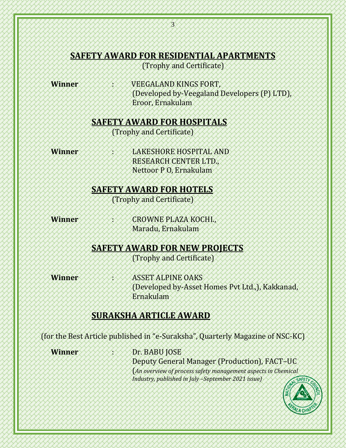### **SAFETY AWARD FOR RESIDENTIAL APARTMENTS**

(Trophy and Certificate)

**Winner / VEEGALAND KINGS FORT,** (Developed by-Veegaland Developers (P) LTD), Eroor, Ernakulam

#### **SAFETY AWARD FOR HOSPITALS**

(Trophy and Certificate)

**Winner** : LAKESHORE HOSPITAL AND RESEARCH CENTER LTD., Nettoor P O, Ernakulam

**SAFETY AWARD FOR HOTELS**

(Trophy and Certificate)

**Winner** : CROWNE PLAZA KOCHI., Maradu, Ernakulam

## **SAFETY AWARD FOR NEW PROJECTS**

(Trophy and Certificate)

**Winner** : ASSET ALPINE OAKS (Developed by-Asset Homes Pvt Ltd.,), Kakkanad, Ernakulam

## **SURAKSHA ARTICLE AWARD**

(for the Best Article published in "e-Suraksha", Quarterly Magazine of NSC-KC)

**Winner /////////////Dr. BABU JOSE** Deputy General Manager (Production), FACT–UC (*An overview of process safety management aspects in Chemical Industry, published in July –September 2021 issue)*

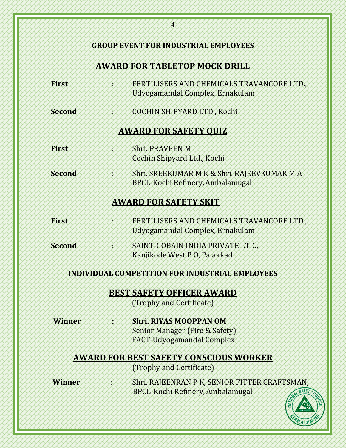|               | <b>AWARD FOR TABLETOP MOCK DRILL</b>                                                                           |
|---------------|----------------------------------------------------------------------------------------------------------------|
| First         | FERTILISERS AND CHEMICALS TRAVANCORE LTD.,<br>Udyogamandal Complex, Ernakulam                                  |
| <b>Second</b> | COCHIN SHIPYARD LTD., Kochi                                                                                    |
|               | <b>AWARD FOR SAFETY QUIZ</b>                                                                                   |
| <b>First</b>  | Shri, PRAVEEN M<br>Cochin Shipyard Ltd., Kochi                                                                 |
| Second        | Shri. SREEKUMAR M K & Shri. RAJEEVKUMAR M A<br><b>BPCL-Kochi Refinery, Ambalamugal</b>                         |
|               | <b>AWARD FOR SAFETY SKIT</b>                                                                                   |
| First         | FERTILISERS AND CHEMICALS TRAVANCORE LTD.,<br>Udyogamandal Complex, Ernakulam                                  |
| Second        | SAINT-GOBAIN INDIA PRIVATE LTD.,<br>Kanjikode West P 0, Palakkad                                               |
|               | INDIVIDUAL COMPETITION FOR INDUSTRIAL EMPLOYEES                                                                |
|               | <b>BEST SAFETY OFFICER AWARD</b>                                                                               |
|               | (Trophy and Certificate)                                                                                       |
| <b>Winner</b> | <b>Shri. RIYAS MOOPPAN OM</b><br><b>Senior Manager (Fire &amp; Safety)</b><br><b>FACT-Udyogamandal Complex</b> |
|               | <b>AWARD FOR BEST SAFETY CONSCIOUS WORKER</b>                                                                  |
|               | (Trophy and Certificate)                                                                                       |
| Winner        | Shri. RAJEENRAN P K, SENIOR FITTER CRAFTSMAN,<br><b>BPCL-Kochi Refinery, Ambalamugal</b><br>SAFETY             |

 $\chi$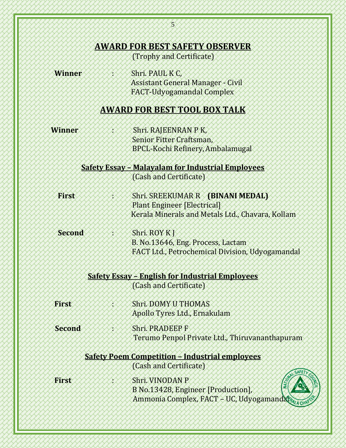#### **AWARD FOR BEST SAFETY OBSERVER**

(Trophy and Certificate)

**Winner** : Shri. PAUL K C, Assistant General Manager - Civil FACT-Udyogamandal Complex

#### **AWARD FOR BEST TOOL BOX TALK**

**Winner** : Shri. RAJEENRAN P K, Senior Fitter Craftsman, BPCL-Kochi Refinery,Ambalamugal

> **Safety Essay – Malayalam for Industrial Employees** (Cash and Certificate)

**First** / *Shri.* Shri. SREEKUMAR R **(BINANI MEDAL)** Plant Engineer [Electrical] Kerala Minerals and Metals Ltd., Chavara, Kollam

**Second / / / / / / / Shri. ROY KJ**  B. No.13646, Eng. Process, Lactam FACT Ltd., Petrochemical Division, Udyogamandal

> **Safety Essay – English for Industrial Employees** (Cash and Certificate)

 **First** : Shri. DOMY U THOMAS Apollo Tyres Ltd., Ernakulam

**Second** >>>>>>>>>>>>Shri. PRADEEP F Terumo Penpol Private Ltd., Thiruvananthapuram

## **Safety Poem Competition – Industrial employees**

(Cash and Certificate)

 **First** : Shri. VINODAN P B No.13428, Engineer [Production], Ammonia Complex, FACT – UC, Udyogamandal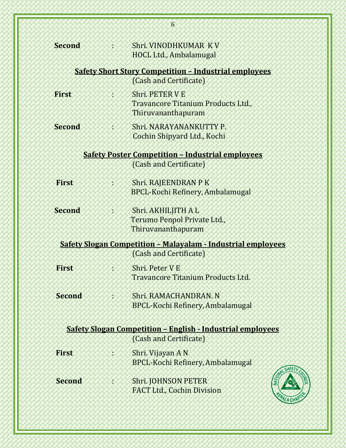| <b>Second</b> | Shri VINODHKUMAR KV<br>HOCL Ltd., Ambalamugal                                                 |
|---------------|-----------------------------------------------------------------------------------------------|
|               | <b>Safety Short Story Competition - Industrial employees</b><br>(Cash and Certificate)        |
| First         | Shri, PETER V E                                                                               |
|               | Travancore Titanium Products Ltd.,<br>Thiruvananthapuram                                      |
| <b>Second</b> | Shri, NARAYANANKUTTY P.<br>Cochin Shipyard Ltd., Kochi                                        |
|               | <b>Safety Poster Competition - Industrial employees</b>                                       |
|               | (Cash and Certificate)                                                                        |
| First         | Shri. RAJEENDRAN P K<br><b>BPCL-Kochi Refinery, Ambalamugal</b>                               |
| <b>Second</b> | Shri. AKHILJITH A L                                                                           |
|               | Terumo Penpol Private Ltd.,<br>Thiruvananthapuram                                             |
|               | <b>Safety Slogan Competition - Malayalam - Industrial employees</b><br>(Cash and Certificate) |
| First         | Shri Peter V E<br><b>Travancore Titanium Products Ltd.</b>                                    |
| <b>Second</b> | Shri, RAMACHANDRAN, N<br><b>BPCL-Kochi Refinery, Ambalamugal</b>                              |
|               | <b>Safety Slogan Competition - English - Industrial employees</b>                             |
|               | (Cash and Certificate)                                                                        |
| <b>First</b>  | Shri. Vijayan A N<br><b>BPCL-Kochi Refinery, Ambalamugal</b>                                  |
| <b>Second</b> | <b>Shri. JOHNSON PETER</b><br><b>FACT Ltd., Cochin Division</b><br>PALA CHI                   |

6